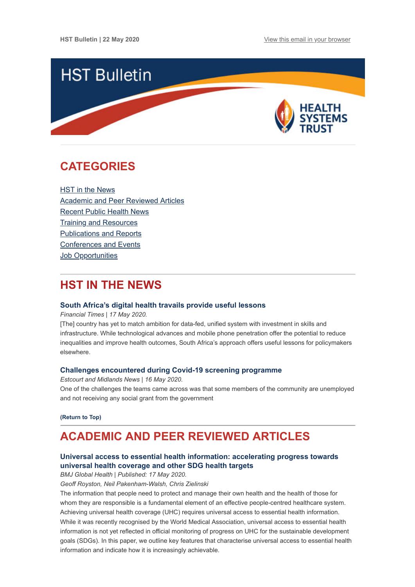

# <span id="page-0-1"></span>**CATEGORIES**

HST in the News [Academic and Peer Reviewed Articles](#page-0-0) [Recent Public Health News](#page-2-0) [Training and Resources](#page-3-0) [Publications and Reports](#page-3-1) [Conferences and Events](#page-3-2) Job Opportunities

# **HST IN THE NEWS**

### **[South Africa's digital health travails provide useful lessons](https://www.ft.com/content/372100b8-72a9-11ea-95fe-fcd274e920ca)**

*Financial Times | 17 May 2020.*

[The] country has yet to match ambition for data-fed, unified system with investment in skills and infrastructure. While technological advances and mobile phone penetration offer the potential to reduce inequalities and improve health outcomes, South Africa's approach offers useful lessons for policymakers elsewhere.

# **[Challenges encountered during Covid-19 screening programme](https://estcourtnews.co.za/81168/challenges-encountered-during-covid-19-screening-programme/)**

*Estcourt and Midlands News | 16 May 2020.* One of the challenges the teams came across was that some members of the community are unemployed and not receiving any social grant from the government

**[\(Return to Top\)](#page-0-1)**

# <span id="page-0-0"></span>**ACADEMIC AND PEER REVIEWED ARTICLES**

# **[Universal access to essential health information: accelerating progress towards](https://gh.bmj.com/content/5/5/e002475) universal health coverage and other SDG health targets**

*BMJ Global Health | Published: 17 May 2020.*

*Geoff Royston, Neil Pakenham-Walsh, Chris Zielinski*

The information that people need to protect and manage their own health and the health of those for whom they are responsible is a fundamental element of an effective people-centred healthcare system. Achieving universal health coverage (UHC) requires universal access to essential health information. While it was recently recognised by the World Medical Association, universal access to essential health information is not yet reflected in official monitoring of progress on UHC for the sustainable development goals (SDGs). In this paper, we outline key features that characterise universal access to essential health information and indicate how it is increasingly achievable.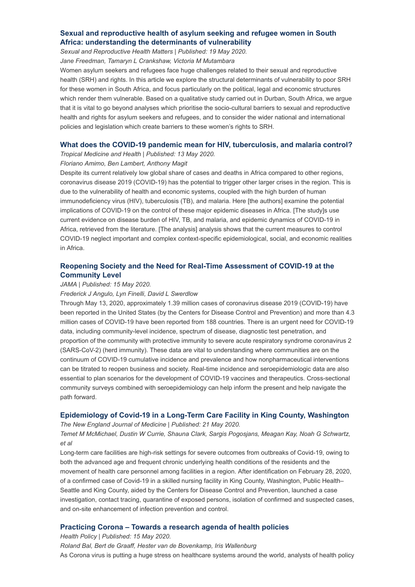# **[Sexual and reproductive health of asylum seeking and refugee women in South](https://www.tandfonline.com/doi/full/10.1080/26410397.2020.1758440) Africa: understanding the determinants of vulnerability**

*Sexual and Reproductive Health Matters | Published: 19 May 2020.*

*Jane Freedman, Tamaryn L Crankshaw, Victoria M Mutambara*

Women asylum seekers and refugees face huge challenges related to their sexual and reproductive health (SRH) and rights. In this article we explore the structural determinants of vulnerability to poor SRH for these women in South Africa, and focus particularly on the political, legal and economic structures which render them vulnerable. Based on a qualitative study carried out in Durban, South Africa, we argue that it is vital to go beyond analyses which prioritise the socio-cultural barriers to sexual and reproductive health and rights for asylum seekers and refugees, and to consider the wider national and international policies and legislation which create barriers to these women's rights to SRH.

### **[What does the COVID-19 pandemic mean for HIV, tuberculosis, and malaria control?](https://tropmedhealth.biomedcentral.com/articles/10.1186/s41182-020-00219-6)**

*Tropical Medicine and Health | Published: 13 May 2020.*

## *Floriano Amimo, Ben Lambert, Anthony Magit*

Despite its current relatively low global share of cases and deaths in Africa compared to other regions, coronavirus disease 2019 (COVID-19) has the potential to trigger other larger crises in the region. This is due to the vulnerability of health and economic systems, coupled with the high burden of human immunodeficiency virus (HIV), tuberculosis (TB), and malaria. Here [the authors] examine the potential implications of COVID-19 on the control of these major epidemic diseases in Africa. [The study]s use current evidence on disease burden of HIV, TB, and malaria, and epidemic dynamics of COVID-19 in Africa, retrieved from the literature. [The analysis] analysis shows that the current measures to control COVID-19 neglect important and complex context-specific epidemiological, social, and economic realities in Africa.

# **[Reopening Society and the Need for Real-Time Assessment of COVID-19 at the](https://jamanetwork.com/journals/jama/fullarticle/2766293?guestAccessKey=ad172da2-98b0-4429-8a82-f5b83af6ecf6&utm_source=silverchair&utm_medium=email&utm_campaign=article_alert-jama&utm_content=olf&utm_term=051520) Community Level**

#### *JAMA | Published: 15 May 2020.*

#### *Frederick J Angulo, Lyn Finelli, David L Swerdlow*

Through May 13, 2020, approximately 1.39 million cases of coronavirus disease 2019 (COVID-19) have been reported in the United States (by the Centers for Disease Control and Prevention) and more than 4.3 million cases of COVID-19 have been reported from 188 countries. There is an urgent need for COVID-19 data, including community-level incidence, spectrum of disease, diagnostic test penetration, and proportion of the community with protective immunity to severe acute respiratory syndrome coronavirus 2 (SARS-CoV-2) (herd immunity). These data are vital to understanding where communities are on the continuum of COVID-19 cumulative incidence and prevalence and how nonpharmaceutical interventions can be titrated to reopen business and society. Real-time incidence and seroepidemiologic data are also essential to plan scenarios for the development of COVID-19 vaccines and therapeutics. Cross-sectional community surveys combined with seroepidemiology can help inform the present and help navigate the path forward.

### **[Epidemiology of Covid-19 in a Long-Term Care Facility in King County, Washington](https://www.nejm.org/doi/full/10.1056/NEJMoa2005412?query=TOC)**

*The New England Journal of Medicine | Published: 21 May 2020.*

## *Temet M McMichael, Dustin W Currie, Shauna Clark, Sargis Pogosjans, Meagan Kay, Noah G Schwartz, et al*

Long-term care facilities are high-risk settings for severe outcomes from outbreaks of Covid-19, owing to both the advanced age and frequent chronic underlying health conditions of the residents and the movement of health care personnel among facilities in a region. After identification on February 28, 2020, of a confirmed case of Covid-19 in a skilled nursing facility in King County, Washington, Public Health– Seattle and King County, aided by the Centers for Disease Control and Prevention, launched a case investigation, contact tracing, quarantine of exposed persons, isolation of confirmed and suspected cases, and on-site enhancement of infection prevention and control.

### **[Practicing Corona – Towards a research agenda of health policies](https://www.ncbi.nlm.nih.gov/pmc/articles/PMC7228690/)**

*Health Policy | Published: 15 May 2020.*

*Roland Bal, Bert de Graaff, Hester van de Bovenkamp, Iris Wallenburg* As Corona virus is putting a huge stress on healthcare systems around the world, analysts of health policy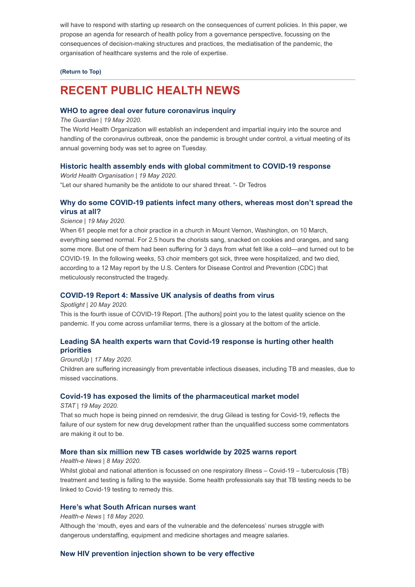will have to respond with starting up research on the consequences of current policies. In this paper, we propose an agenda for research of health policy from a governance perspective, focussing on the consequences of decision-making structures and practices, the mediatisation of the pandemic, the organisation of healthcare systems and the role of expertise.

#### **[\(Return to Top\)](#page-0-1)**

# <span id="page-2-0"></span>**RECENT PUBLIC HEALTH NEWS**

### **[WHO to agree deal over future coronavirus inquiry](https://www.theguardian.com/world/2020/may/18/who-to-agree-deal-over-future-coronavirus-inquiry)**

*The Guardian | 19 May 2020.*

The World Health Organization will establish an independent and impartial inquiry into the source and handling of the coronavirus outbreak, once the pandemic is brought under control, a virtual meeting of its annual governing body was set to agree on Tuesday.

#### **[Historic health assembly ends with global commitment to COVID-19 response](https://www.who.int/news-room/detail/19-05-2020-historic-health-assembly-ends-with-global-commitment-to-covid-19-response)**

*World Health Organisation | 19 May 2020.*  "Let our shared humanity be the antidote to our shared threat. "- Dr Tedros

# **[Why do some COVID-19 patients infect many others, whereas most don't spread the](https://www.sciencemag.org/news/2020/05/why-do-some-covid-19-patients-infect-many-others-whereas-most-don-t-spread-virus-all#) virus at all?**

*Science | 19 May 2020.*

When 61 people met for a choir practice in a church in Mount Vernon, Washington, on 10 March, everything seemed normal. For 2.5 hours the chorists sang, snacked on cookies and oranges, and sang some more. But one of them had been suffering for 3 days from what felt like a cold—and turned out to be COVID-19. In the following weeks, 53 choir members got sick, three were hospitalized, and two died, according to a 12 May report by the U.S. Centers for Disease Control and Prevention (CDC) that meticulously reconstructed the tragedy.

## **[COVID-19 Report 4: Massive UK analysis of deaths from virus](https://www.spotlightnsp.co.za/2020/05/20/covid-19-report-4-massive-uk-analysis-of-deaths-from-virus/)**

*Spotlight | 20 May 2020.*

This is the fourth issue of COVID-19 Report. [The authors] point you to the latest quality science on the pandemic. If you come across unfamiliar terms, there is a glossary at the bottom of the article.

# **[Leading SA health experts warn that Covid-19 response is hurting other health](https://www.groundup.org.za/article/leading-sa-health-experts-warn-covid-19-response-hurting-other-health-priorities/) priorities**

*GroundUp | 17 May 2020.*

Children are suffering increasingly from preventable infectious diseases, including TB and measles, due to missed vaccinations.

#### **[Covid-19 has exposed the limits of the pharmaceutical market model](https://www.statnews.com/2020/05/19/covid-19-exposed-limits-drug-development-model/?utm_source=STAT+Newsletters&utm_campaign=602f14f982-Pharmalot&utm_medium=email&utm_term=0_8cab1d7961-602f14f982-149648021)**

*STAT | 19 May 2020.*

That so much hope is being pinned on remdesivir, the drug Gilead is testing for Covid-19, reflects the failure of our system for new drug development rather than the unqualified success some commentators are making it out to be.

#### **[More than six million new TB cases worldwide by 2025 warns report](https://health-e.org.za/2020/05/18/more-than-six-million-new-tb-cases-worldwide-by-2025-warns-report/)**

#### *Health-e News | 8 May 2020.*

Whilst global and national attention is focussed on one respiratory illness – Covid-19 – tuberculosis (TB) treatment and testing is falling to the wayside. Some health professionals say that TB testing needs to be linked to Covid-19 testing to remedy this.

# **[Here's what South African nurses want](https://health-e.org.za/2020/05/18/heres-what-south-african-nurses-want/)**

#### *Health-e News | 18 May 2020.*

Although the 'mouth, eyes and ears of the vulnerable and the defenceless' nurses struggle with dangerous understaffing, equipment and medicine shortages and meagre salaries.

### **[New HIV prevention injection shown to be very effective](https://www.groundup.org.za/article/new-hiv-prevention-injection-shows-great-promise/)**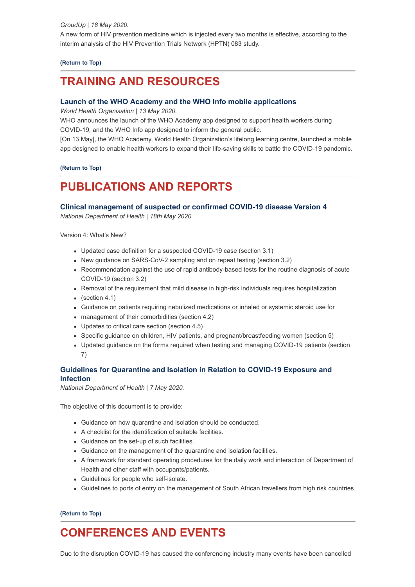A new form of HIV prevention medicine which is injected every two months is effective, according to the interim analysis of the HIV Prevention Trials Network (HPTN) 083 study.

## **[\(Return to Top\)](#page-0-1)**

# <span id="page-3-0"></span>**TRAINING AND RESOURCES**

# **[Launch of the WHO Academy and the WHO Info mobile applications](https://www.who.int/news-room/detail/13-05-2020-launch-of-the-who-academy-and-the-who-info-mobile-applications)**

*World Health Organisation | 13 May 2020.*

WHO announces the launch of the WHO Academy app designed to support health workers during COVID-19, and the WHO Info app designed to inform the general public.

[On 13 May], the WHO Academy, World Health Organization's lifelong learning centre, launched a mobile app designed to enable health workers to expand their life-saving skills to battle the COVID-19 pandemic.

### **[\(Return to Top\)](#page-0-1)**

# <span id="page-3-1"></span>**PUBLICATIONS AND REPORTS**

# **[Clinical management of suspected or confirmed COVID-19 disease Version 4](https://www.hst.org.za/Covid19/Documents/Clinical-management-of-suspected-or-confirmed-COVID-19-Version-4.pdf)**

*National Department of Health | 18th May 2020.*

Version 4: What's New?

- Updated case definition for a suspected COVID-19 case (section 3.1)
- New guidance on SARS-CoV-2 sampling and on repeat testing (section 3.2)
- Recommendation against the use of rapid antibody-based tests for the routine diagnosis of acute COVID-19 (section 3.2)
- Removal of the requirement that mild disease in high-risk individuals requires hospitalization
- $\bullet$  (section 4.1)
- Guidance on patients requiring nebulized medications or inhaled or systemic steroid use for
- management of their comorbidities (section 4.2)
- Updates to critical care section (section 4.5)
- Specific guidance on children, HIV patients, and pregnant/breastfeeding women (section 5)
- Updated guidance on the forms required when testing and managing COVID-19 patients (section 7)

# **[Guidelines for Quarantine and Isolation in Relation to COVID-19 Exposure and](https://www.hst.org.za/Covid19/Documents/Guidelines%20for%20Quarantine%20and%20Isolation%20in%20relation%20to%20%20COVID-19.pdf) Infection**

*National Department of Health | 7 May 2020.*

The objective of this document is to provide:

- Guidance on how quarantine and isolation should be conducted.
- A checklist for the identification of suitable facilities.
- Guidance on the set-up of such facilities.
- Guidance on the management of the quarantine and isolation facilities.
- A framework for standard operating procedures for the daily work and interaction of Department of Health and other staff with occupants/patients.
- Guidelines for people who self-isolate.
- Guidelines to ports of entry on the management of South African travellers from high risk countries

**[\(Return to Top\)](#page-0-1)**

# <span id="page-3-2"></span>**CONFERENCES AND EVENTS**

Due to the disruption COVID-19 has caused the conferencing industry many events have been cancelled